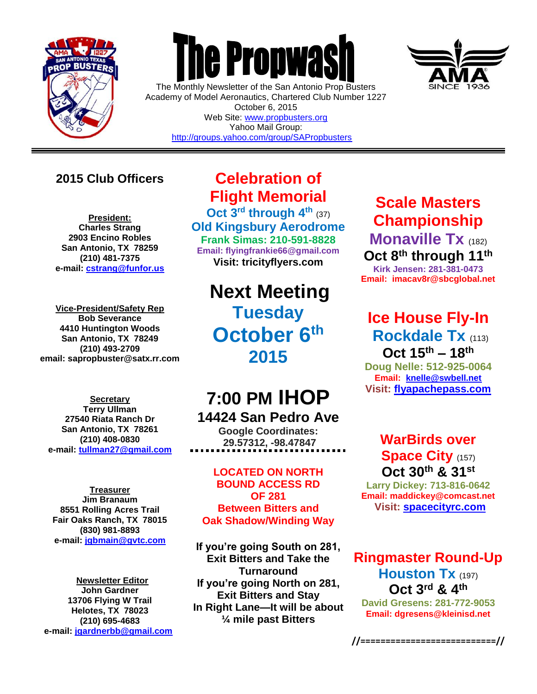

 $\overline{a}$ 

# **The Propwas**

The Monthly Newsletter of the San Antonio Prop Busters Academy of Model Aeronautics, Chartered Club Number 1227 October 6, 2015 Web Site: [www.propbusters.org](http://www.propbusters.org/) Yahoo Mail Group:

<http://groups.yahoo.com/group/SAPropbusters>



## **2015 Club Officers**

**President: Charles Strang 2903 Encino Robles San Antonio, TX 78259 (210) 481-7375 e-mail: [cstrang@funfor.us](mailto:cstrang@funfor.us)**

**Vice-President/Safety Rep Bob Severance 4410 Huntington Woods San Antonio, TX 78249 (210) 493-2709 email: sapropbuster@satx.rr.com**

**Secretary Terry Ullman 27540 Riata Ranch Dr San Antonio, TX 78261 (210) 408-0830 e-mail: [tullman27@gmail.com](mailto:tullman27@gmail.com)**

**Treasurer Jim Branaum 8551 Rolling Acres Trail Fair Oaks Ranch, TX 78015 (830) 981-8893 e-mail: [jgbmain@gvtc.com](mailto:jgbmain@gvtc.com)**

**Newsletter Editor John Gardner 13706 Flying W Trail Helotes, TX 78023 (210) 695-4683 e-mail: [jgardnerbb@gmail.com](mailto:jgardnerbb@gmail.com)**

## **Celebration of Flight Memorial**

**Oct 3rd through 4th** (37) **Old Kingsbury Aerodrome Frank Simas: 210-591-8828 Email: flyingfrankie66@gmail.com Visit: tricityflyers.com**

> **Next Meeting Tuesday October 6 th 2015**

# **7:00 PM IHOP 14424 San Pedro Ave**

**Google Coordinates: 29.57312, -98.47847**

#### **LOCATED ON NORTH BOUND ACCESS RD OF 281 Between Bitters and Oak Shadow/Winding Way**

**If you're going South on 281, Exit Bitters and Take the Turnaround If you're going North on 281, Exit Bitters and Stay In Right Lane—It will be about ¼ mile past Bitters**

## **Scale Masters Championship Monaville Tx** (182) **Oct 8th through 11th**

**Kirk Jensen: 281-381-0473 Email: imacav8r@sbcglobal.net**

## **Ice House Fly-In Rockdale Tx** (113) **Oct 15th – 18th**

**Doug Nelle: 512-925-0064 Email: [knelle@swbell.net](mailto:knelle@swbell.net) Visit: [flyapachepass.com](http://www.gamarc.org/)**

## **WarBirds over Space City** (157) **Oct 30th & 31st**

**Larry Dickey: 713-816-0642 Email: maddickey@comcast.net Visit: [spacecityrc.com](http://www.gamarc.org/)**

## **Ringmaster Round-Up Houston Tx** (197) **Oct 3rd & 4th**

**David Gresens: 281-772-9053 Email: dgresens@kleinisd.net**

**//===========================//**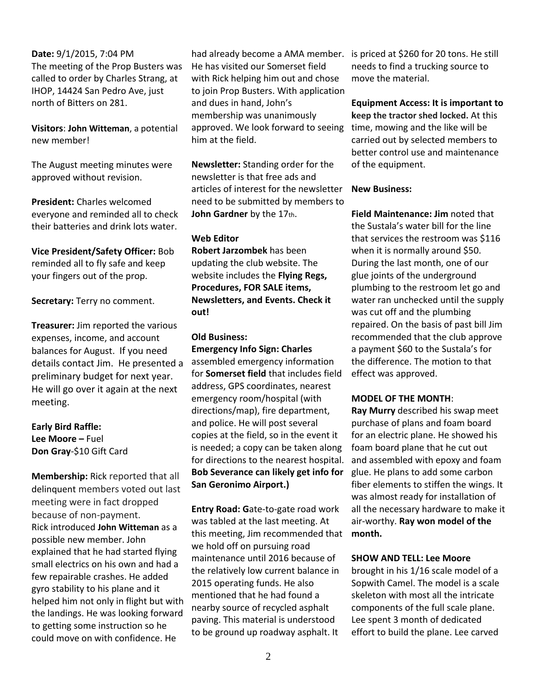**Date:** 9/1/2015, 7:04 PM The meeting of the Prop Busters was called to order by Charles Strang, at IHOP, 14424 San Pedro Ave, just north of Bitters on 281.

**Visitors**: **John Witteman**, a potential new member!

The August meeting minutes were approved without revision.

**President:** Charles welcomed everyone and reminded all to check their batteries and drink lots water.

**Vice President/Safety Officer:** Bob reminded all to fly safe and keep your fingers out of the prop.

**Secretary:** Terry no comment.

**Treasurer:** Jim reported the various expenses, income, and account balances for August. If you need details contact Jim. He presented a preliminary budget for next year. He will go over it again at the next meeting.

#### **Early Bird Raffle: Lee Moore –** Fuel **Don Gray**-\$10 Gift Card

**Membership:** Rick reported that all delinquent members voted out last meeting were in fact dropped because of non-payment. Rick introduced **John Witteman** as a possible new member. John explained that he had started flying small electrics on his own and had a few repairable crashes. He added gyro stability to his plane and it helped him not only in flight but with the landings. He was looking forward to getting some instruction so he could move on with confidence. He

had already become a AMA member. is priced at \$260 for 20 tons. He still He has visited our Somerset field with Rick helping him out and chose to join Prop Busters. With application and dues in hand, John's membership was unanimously approved. We look forward to seeing him at the field.

**Newsletter:** Standing order for the newsletter is that free ads and articles of interest for the newsletter need to be submitted by members to **John Gardner** by the 17th.

#### **Web Editor**

**Robert Jarzombek** has been updating the club website. The website includes the **Flying Regs, Procedures, FOR SALE items, Newsletters, and Events. Check it out!** 

#### **Old Business:**

**Emergency Info Sign: Charles**  assembled emergency information for **Somerset field** that includes field address, GPS coordinates, nearest emergency room/hospital (with directions/map), fire department, and police. He will post several copies at the field, so in the event it is needed; a copy can be taken along for directions to the nearest hospital. **Bob Severance can likely get info for San Geronimo Airport.)**

**Entry Road: G**ate-to-gate road work was tabled at the last meeting. At this meeting, Jim recommended that we hold off on pursuing road maintenance until 2016 because of the relatively low current balance in 2015 operating funds. He also mentioned that he had found a nearby source of recycled asphalt paving. This material is understood to be ground up roadway asphalt. It

needs to find a trucking source to move the material.

**Equipment Access: It is important to keep the tractor shed locked.** At this time, mowing and the like will be carried out by selected members to better control use and maintenance of the equipment.

#### **New Business:**

**Field Maintenance: Jim** noted that the Sustala's water bill for the line that services the restroom was \$116 when it is normally around \$50. During the last month, one of our glue joints of the underground plumbing to the restroom let go and water ran unchecked until the supply was cut off and the plumbing repaired. On the basis of past bill Jim recommended that the club approve a payment \$60 to the Sustala's for the difference. The motion to that effect was approved.

#### **MODEL OF THE MONTH**:

**Ray Murry** described his swap meet purchase of plans and foam board for an electric plane. He showed his foam board plane that he cut out and assembled with epoxy and foam glue. He plans to add some carbon fiber elements to stiffen the wings. It was almost ready for installation of all the necessary hardware to make it air-worthy. **Ray won model of the month.**

#### **SHOW AND TELL: Lee Moore**

brought in his 1/16 scale model of a Sopwith Camel. The model is a scale skeleton with most all the intricate components of the full scale plane. Lee spent 3 month of dedicated effort to build the plane. Lee carved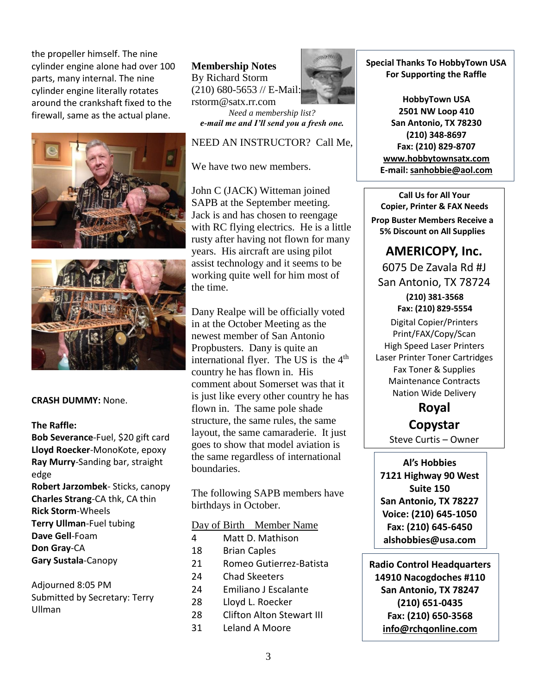the propeller himself. The nine cylinder engine alone had over 100 parts, many internal. The nine cylinder engine literally rotates around the crankshaft fixed to the firewall, same as the actual plane.





#### **CRASH DUMMY:** None.

#### **The Raffle:**

**Bob Severance**-Fuel, \$20 gift card **Lloyd Roecker**-MonoKote, epoxy **Ray Murry**-Sanding bar, straight edge

**Robert Jarzombek**- Sticks, canopy **Charles Strang**-CA thk, CA thin **Rick Storm**-Wheels **Terry Ullman**-Fuel tubing **Dave Gell**-Foam **Don Gray**-CA

**Gary Sustala**-Canopy

Adjourned 8:05 PM Submitted by Secretary: Terry Ullman

**Membership Notes** By Richard Storm (210) 680-5653 // E-Mail: rstorm@satx.rr.com *Need a membership list? e-mail me and I'll send you a fresh one.*

#### NEED AN INSTRUCTOR? Call Me,

We have two new members.

John C (JACK) Witteman joined SAPB at the September meeting. Jack is and has chosen to reengage with RC flying electrics. He is a little rusty after having not flown for many years. His aircraft are using pilot assist technology and it seems to be working quite well for him most of the time.

Dany Realpe will be officially voted in at the October Meeting as the newest member of San Antonio Propbusters. Dany is quite an international flyer. The US is the 4<sup>th</sup> country he has flown in. His comment about Somerset was that it is just like every other country he has flown in. The same pole shade structure, the same rules, the same layout, the same camaraderie. It just goes to show that model aviation is the same regardless of international boundaries.

The following SAPB members have birthdays in October.

#### Day of Birth Member Name

 Matt D. Mathison Brian Caples Romeo Gutierrez-Batista 24 Chad Skeeters Emiliano J Escalante Lloyd L. Roecker Clifton Alton Stewart III Leland A Moore



**Special Thanks To HobbyTown USA For Supporting the Raffle**

**HobbyTown USA 2501 NW Loop 410 San Antonio, TX 78230 (210) 348-8697 Fax: (210) 829-8707 [www.hobbytownsatx.com](http://www.hobbytownsatx.com/) E-mail: [sanhobbie@aol.com](mailto:sanhobbie@aol.com)**

**Call Us for All Your Copier, Printer & FAX Needs Prop Buster Members Receive a 5% Discount on All Supplies**

### **AMERICOPY, Inc.**

6075 De Zavala Rd #J San Antonio, TX 78724

**(210) 381-3568 Fax: (210) 829-5554** Digital Copier/Printers Print/FAX/Copy/Scan High Speed Laser Printers Laser Printer Toner Cartridges Fax Toner & Supplies Maintenance Contracts Nation Wide Delivery

# **Royal**

**Copystar**

Steve Curtis – Owner

**Al's Hobbies 7121 Highway 90 West Suite 150 San Antonio, TX 78227 Voice: (210) 645-1050 Fax: (210) 645-6450 alshobbies@usa.com**

**Radio Control Headquarters 14910 Nacogdoches #110 San Antonio, TX 78247 (210) 651-0435 Fax: (210) 650-3568 [info@rchqonline.com](mailto:info@rchqonline.com)**